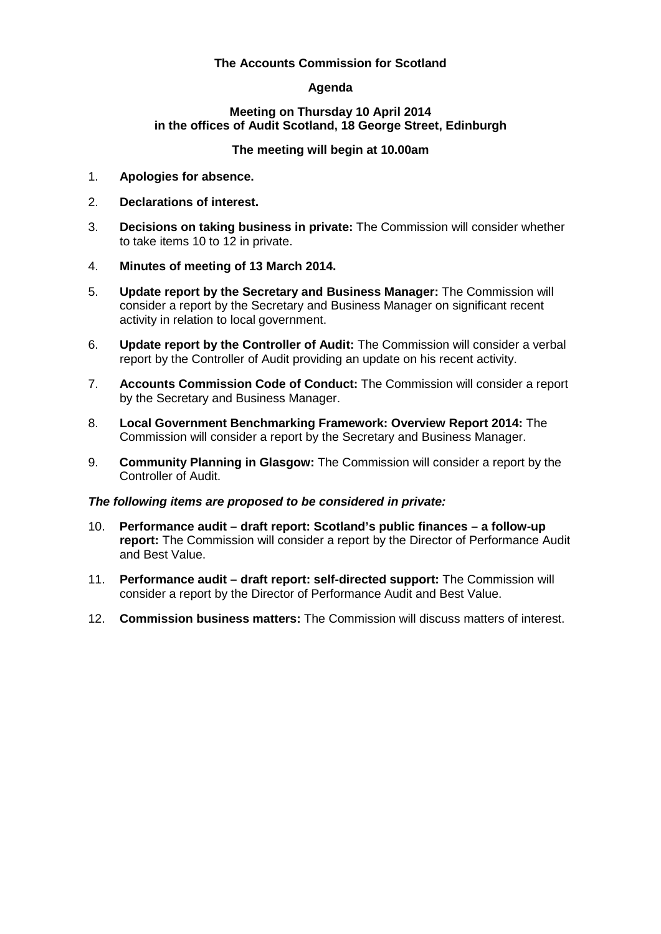## **The Accounts Commission for Scotland**

# **Agenda**

#### **Meeting on Thursday 10 April 2014 in the offices of Audit Scotland, 18 George Street, Edinburgh**

## **The meeting will begin at 10.00am**

- 1. **Apologies for absence.**
- 2. **Declarations of interest.**
- 3. **Decisions on taking business in private:** The Commission will consider whether to take items 10 to 12 in private.
- 4. **Minutes of meeting of 13 March 2014.**
- 5. **Update report by the Secretary and Business Manager:** The Commission will consider a report by the Secretary and Business Manager on significant recent activity in relation to local government.
- 6. **Update report by the Controller of Audit:** The Commission will consider a verbal report by the Controller of Audit providing an update on his recent activity.
- 7. **Accounts Commission Code of Conduct:** The Commission will consider a report by the Secretary and Business Manager.
- 8. **Local Government Benchmarking Framework: Overview Report 2014:** The Commission will consider a report by the Secretary and Business Manager.
- 9. **Community Planning in Glasgow:** The Commission will consider a report by the Controller of Audit.

### *The following items are proposed to be considered in private:*

- 10. **Performance audit – draft report: Scotland's public finances – a follow-up report:** The Commission will consider a report by the Director of Performance Audit and Best Value.
- 11. **Performance audit – draft report: self-directed support:** The Commission will consider a report by the Director of Performance Audit and Best Value.
- 12. **Commission business matters:** The Commission will discuss matters of interest.